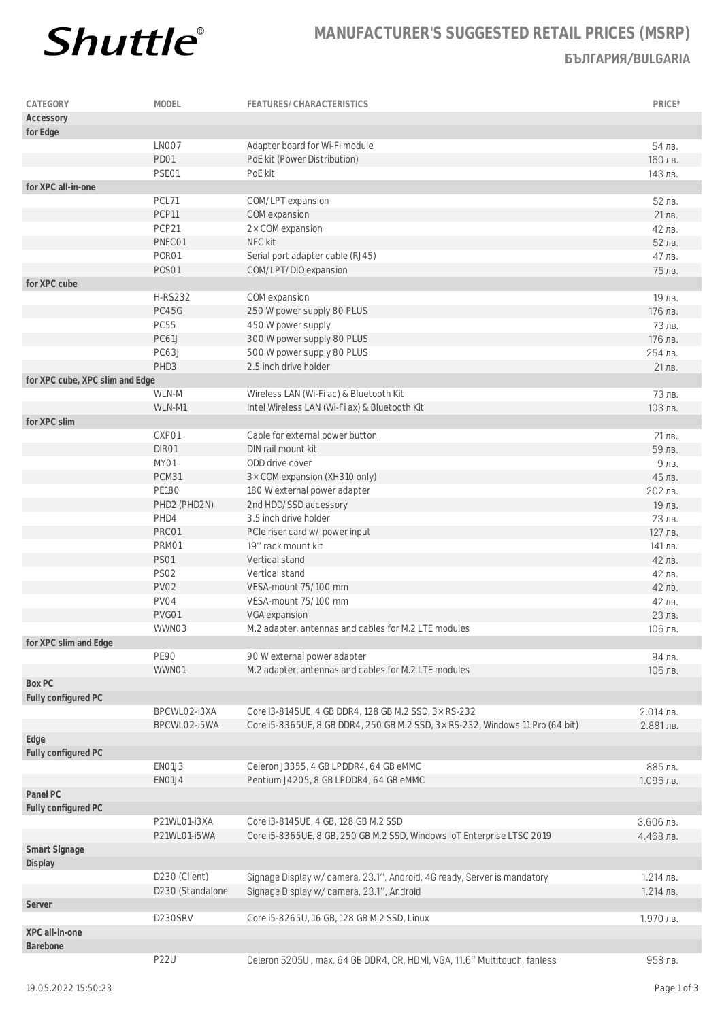

## **MANUFACTURER'S SUGGESTED RETAIL PRICES (MSRP) БЪЛГАРИЯ/BULGARIA**

| CATEGORY                        | <b>MODEL</b>         | FEATURES/CHARACTERISTICS                                                      | PRICE*    |
|---------------------------------|----------------------|-------------------------------------------------------------------------------|-----------|
| Accessory                       |                      |                                                                               |           |
| for Edge                        |                      |                                                                               |           |
|                                 | LNO07                | Adapter board for Wi-Fi module                                                | 54 лв.    |
|                                 | PD01                 | PoE kit (Power Distribution)                                                  | 160 лв.   |
|                                 | PSE01                | PoE kit                                                                       | 143 лв.   |
| for XPC all-in-one              |                      |                                                                               |           |
|                                 | PCL71                | COM/LPT expansion                                                             | 52 лв.    |
|                                 | PCP11                | COM expansion                                                                 | 21 лв.    |
|                                 | PCP21                | 2x COM expansion                                                              | 42 лв.    |
|                                 | PNFC01               | NFC kit                                                                       | 52 лв.    |
|                                 | PORO1                | Serial port adapter cable (RJ45)                                              | 47 лв.    |
|                                 | <b>POSO1</b>         | COM/LPT/DIO expansion                                                         | 75 лв.    |
| for XPC cube                    |                      |                                                                               |           |
|                                 | <b>H-RS232</b>       | COM expansion                                                                 | 19 лв.    |
|                                 | PC45G                | 250 W power supply 80 PLUS                                                    | 176 лв.   |
|                                 | <b>PC55</b>          | 450 W power supply                                                            | 73 лв.    |
|                                 | <b>PC61J</b>         | 300 W power supply 80 PLUS                                                    | 176 лв.   |
|                                 | PC63J                | 500 W power supply 80 PLUS                                                    | 254 лв.   |
|                                 | PHD3                 | 2.5 inch drive holder                                                         | 21 лв.    |
| for XPC cube, XPC slim and Edge |                      |                                                                               |           |
|                                 | WLN-M                | Wireless LAN (Wi-Fi ac) & Bluetooth Kit                                       | 73 лв.    |
|                                 | WLN-M1               | Intel Wireless LAN (Wi-Fi ax) & Bluetooth Kit                                 | 103 лв.   |
| for XPC slim                    |                      |                                                                               |           |
|                                 | CXP01                | Cable for external power button                                               | 21 лв.    |
|                                 | DIR01                | DIN rail mount kit                                                            | 59 лв.    |
|                                 | MY01                 | ODD drive cover                                                               | 9лв.      |
|                                 | PCM31                | 3x COM expansion (XH310 only)                                                 | 45 лв.    |
|                                 | <b>PE180</b>         | 180 W external power adapter                                                  | 202 лв.   |
|                                 |                      | 2nd HDD/SSD accessory                                                         | 19 лв.    |
|                                 | PHD2 (PHD2N)<br>PHD4 | 3.5 inch drive holder                                                         | 23 лв.    |
|                                 | PRC01                |                                                                               | 127 лв.   |
|                                 | PRM01                | PCIe riser card w/ power input<br>19" rack mount kit                          | 141 лв.   |
|                                 | <b>PS01</b>          | Vertical stand                                                                | 42 лв.    |
|                                 | <b>PS02</b>          | Vertical stand                                                                | 42 лв.    |
|                                 | PV02                 | VESA-mount 75/100 mm                                                          | 42 лв.    |
|                                 |                      | VESA-mount 75/100 mm                                                          |           |
|                                 | PV04                 |                                                                               | 42 лв.    |
|                                 | PVG01                | VGA expansion                                                                 | 23 лв.    |
|                                 | WWN03                | M.2 adapter, antennas and cables for M.2 LTE modules                          | 106 лв.   |
| for XPC slim and Edge           |                      |                                                                               |           |
|                                 | <b>PE90</b>          | 90 W external power adapter                                                   | 94 лв.    |
|                                 | WWN01                | M.2 adapter, antennas and cables for M.2 LTE modules                          | 106 лв.   |
| Box PC                          |                      |                                                                               |           |
| Fully configured PC             | BPCWLO2-i3XA         |                                                                               | 2.014 лв. |
|                                 |                      | Core i3-8145UE, 4 GB DDR4, 128 GB M.2 SSD, 3x RS-232                          |           |
|                                 | BPCWLO2-i5WA         | Core i5-8365UE, 8 GB DDR4, 250 GB M.2 SSD, 3x RS-232, Windows 11 Pro (64 bit) | 2.881 лв. |
| Edge                            |                      |                                                                               |           |
| Fully configured PC             |                      |                                                                               |           |
|                                 | EN01J3               | Celeron J3355, 4 GB LPDDR4, 64 GB eMMC                                        | 885 лв.   |
|                                 | ENO1J4               | Pentium J4205, 8 GB LPDDR4, 64 GB eMMC                                        | 1.096 лв. |
| Panel PC                        |                      |                                                                               |           |
| Fully configured PC             |                      |                                                                               |           |
|                                 | P21WL01-i3XA         | Core i3-8145UE, 4 GB, 128 GB M.2 SSD                                          | 3.606 лв. |
|                                 | P21WL01-i5WA         | Core i5-8365UE, 8 GB, 250 GB M.2 SSD, Windows IoT Enterprise LTSC 2019        | 4.468 лв. |
| Smart Signage<br>Display        |                      |                                                                               |           |
|                                 | D230 (Client)        | Signage Display w/ camera, 23.1", Android, 4G ready, Server is mandatory      | 1.214 лв. |
|                                 | D230 (Standalone     | Signage Display w/ camera, 23.1", Android                                     | 1.214 лв. |
| Server                          |                      |                                                                               |           |
|                                 | D230SRV              | Core i5-8265U, 16 GB, 128 GB M.2 SSD, Linux                                   | 1.970 лв. |
| XPC all-in-one                  |                      |                                                                               |           |
| Barebone                        |                      |                                                                               |           |
|                                 | <b>P22U</b>          | Celeron 5205U, max. 64 GB DDR4, CR, HDMI, VGA, 11.6" Multitouch, fanless      | 958 лв.   |
|                                 |                      |                                                                               |           |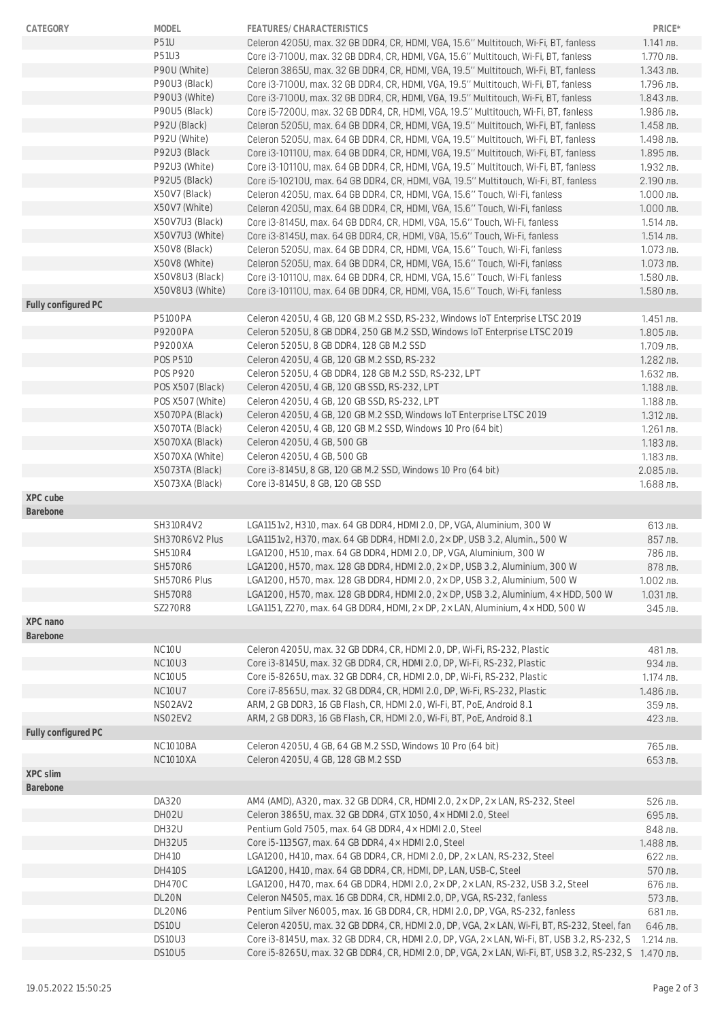| CATEGORY            | MODEL                           | FEATURES/CHARACTERISTICS                                                                     | PRICE*      |
|---------------------|---------------------------------|----------------------------------------------------------------------------------------------|-------------|
|                     | <b>P51U</b>                     | Celeron 4205U, max. 32 GB DDR4, CR, HDMI, VGA, 15.6" Multitouch, Wi-Fi, BT, fanless          | 1.141 лв.   |
|                     | P51U3                           | Core i3-7100U, max. 32 GB DDR4, CR, HDMI, VGA, 15.6" Multitouch, Wi-Fi, BT, fanless          | 1.770 лв.   |
|                     | P90U (White)                    | Celeron 3865U, max. 32 GB DDR4, CR, HDMI, VGA, 19.5" Multitouch, Wi-Fi, BT, fanless          | 1.343 лв.   |
|                     | P90U3 (Black)                   | Core i3-7100U, max. 32 GB DDR4, CR, HDMI, VGA, 19.5" Multitouch, Wi-Fi, BT, fanless          | 1.796 лв.   |
|                     | P90U3 (White)                   | Core i3-7100U, max. 32 GB DDR4, CR, HDMI, VGA, 19.5" Multitouch, Wi-Fi, BT, fanless          | 1.843 лв.   |
|                     | P90U5 (Black)                   | Core i5-7200U, max. 32 GB DDR4, CR, HDMI, VGA, 19.5" Multitouch, Wi-Fi, BT, fanless          | 1.986 лв.   |
|                     | P92U (Black)                    | Celeron 5205U, max. 64 GB DDR4, CR, HDMI, VGA, 19.5" Multitouch, Wi-Fi, BT, fanless          | 1.458 лв.   |
|                     | P92U (White)                    | Celeron 5205U, max. 64 GB DDR4, CR, HDMI, VGA, 19.5" Multitouch, Wi-Fi, BT, fanless          | 1.498 лв.   |
|                     | P92U3 (Black                    | Core i3-10110U, max. 64 GB DDR4, CR, HDMI, VGA, 19.5" Multitouch, Wi-Fi, BT, fanless         | 1.895 лв.   |
|                     | P92U3 (White)                   | Core i3-10110U, max. 64 GB DDR4, CR, HDMI, VGA, 19.5" Multitouch, Wi-Fi, BT, fanless         | 1.932 лв.   |
|                     | P92U5 (Black)                   | Core i5-10210U, max. 64 GB DDR4, CR, HDMI, VGA, 19.5" Multitouch, Wi-Fi, BT, fanless         | 2.190 лв.   |
|                     | X50V7 (Black)                   | Celeron 4205U, max. 64 GB DDR4, CR, HDMI, VGA, 15.6" Touch, Wi-Fi, fanless                   | 1.000 лв.   |
|                     | X50V7 (White)                   | Celeron 4205U, max. 64 GB DDR4, CR, HDMI, VGA, 15.6" Touch, Wi-Fi, fanless                   | 1.000 лв.   |
|                     | X50V7U3 (Black)                 | Core i3-8145U, max. 64 GB DDR4, CR, HDMI, VGA, 15.6" Touch, Wi-Fi, fanless                   | 1.514 лв.   |
|                     | X50V7U3 (White)                 | Core i3-8145U, max. 64 GB DDR4, CR, HDMI, VGA, 15.6" Touch, Wi-Fi, fanless                   | 1.514 лв.   |
|                     | X50V8 (Black)                   | Celeron 5205U, max. 64 GB DDR4, CR, HDMI, VGA, 15.6" Touch, Wi-Fi, fanless                   | 1.073 лв.   |
|                     | X50V8 (White)                   | Celeron 5205U, max. 64 GB DDR4, CR, HDMI, VGA, 15.6" Touch, Wi-Fi, fanless                   | 1.073 лв.   |
|                     | X50V8U3 (Black)                 | Core i3-10110U, max. 64 GB DDR4, CR, HDMI, VGA, 15.6" Touch, Wi-Fi, fanless                  | 1.580 лв.   |
|                     | X50V8U3 (White)                 | Core i3-10110U, max. 64 GB DDR4, CR, HDMI, VGA, 15.6" Touch, Wi-Fi, fanless                  | 1.580 лв.   |
| Fully configured PC |                                 |                                                                                              |             |
|                     | <b>P5100PA</b>                  | Celeron 4205U, 4 GB, 120 GB M.2 SSD, RS-232, Windows IoT Enterprise LTSC 2019                | $1.451$ лв. |
|                     | P9200PA                         | Celeron 5205U, 8 GB DDR4, 250 GB M.2 SSD, Windows IoT Enterprise LTSC 2019                   | 1.805 лв.   |
|                     | P9200XA                         | Celeron 5205U, 8 GB DDR4, 128 GB M.2 SSD                                                     | 1.709 лв.   |
|                     | <b>POS P510</b>                 | Celeron 4205U, 4 GB, 120 GB M.2 SSD, RS-232                                                  | 1.282 лв.   |
|                     | <b>POS P920</b>                 | Celeron 5205U, 4 GB DDR4, 128 GB M.2 SSD, RS-232, LPT                                        | 1.632 лв.   |
|                     | POS X507 (Black)                | Celeron 4205U, 4 GB, 120 GB SSD, RS-232, LPT                                                 | 1.188 лв.   |
|                     | POS X507 (White)                | Celeron 4205U, 4 GB, 120 GB SSD, RS-232, LPT                                                 | 1.188 лв.   |
|                     | X5070PA (Black)                 | Celeron 4205U, 4 GB, 120 GB M.2 SSD, Windows IoT Enterprise LTSC 2019                        | 1.312 лв.   |
|                     | X5070TA (Black)                 | Celeron 4205U, 4 GB, 120 GB M.2 SSD, Windows 10 Pro (64 bit)                                 | 1.261 лв.   |
|                     | X5070XA (Black)                 | Celeron 4205U, 4 GB, 500 GB                                                                  | 1.183 лв.   |
|                     | X5070XA (White)                 | Celeron 4205U, 4 GB, 500 GB                                                                  | 1.183 лв.   |
|                     | X5073TA (Black)                 | Core i3-8145U, 8 GB, 120 GB M.2 SSD, Windows 10 Pro (64 bit)                                 | 2.085 лв.   |
|                     | X5073XA (Black)                 | Core i3-8145U, 8 GB, 120 GB SSD                                                              | 1.688 лв.   |
| XPC cube            |                                 |                                                                                              |             |
| Barebone            |                                 |                                                                                              |             |
|                     | SH310R4V2                       | LGA1151v2, H310, max. 64 GB DDR4, HDMI 2.0, DP, VGA, Aluminium, 300 W                        | 613 лв.     |
|                     | SH370R6V2 Plus                  | LGA1151v2, H370, max. 64 GB DDR4, HDMI 2.0, 2x DP, USB 3.2, Alumin., 500 W                   | 857 лв.     |
|                     | <b>SH510R4</b>                  | LGA1200, H510, max. 64 GB DDR4, HDMI 2.0, DP, VGA, Aluminium, 300 W                          | 786 лв.     |
|                     | <b>SH570R6</b>                  | LGA1200, H570, max. 128 GB DDR4, HDMI 2.0, 2x DP, USB 3.2, Aluminium, 300 W                  | 878 лв.     |
|                     | SH570R6 Plus                    | LGA1200, H570, max. 128 GB DDR4, HDMI 2.0, 2× DP, USB 3.2, Aluminium, 500 W                  | 1.002 лв.   |
|                     | <b>SH570R8</b>                  | LGA1200, H570, max. 128 GB DDR4, HDMI 2.0, 2× DP, USB 3.2, Aluminium, 4× HDD, 500 W          | 1.031 лв.   |
|                     | <b>SZ270R8</b>                  | LGA1151, Z270, max. 64 GB DDR4, HDMI, 2× DP, 2× LAN, Aluminium, 4× HDD, 500 W                | 345 лв.     |
| XPC nano            |                                 |                                                                                              |             |
| Barebone            |                                 |                                                                                              |             |
|                     | NC <sub>10</sub> U              | Celeron 4205U, max. 32 GB DDR4, CR, HDMI 2.0, DP, Wi-Fi, RS-232, Plastic                     | 481 лв.     |
|                     | NC <sub>10</sub> U <sub>3</sub> | Core i3-8145U, max. 32 GB DDR4, CR, HDMI 2.0, DP, Wi-Fi, RS-232, Plastic                     | 934 лв.     |
|                     | NC10U5                          | Core i5-8265U, max. 32 GB DDR4, CR, HDMI 2.0, DP, Wi-Fi, RS-232, Plastic                     | 1.174 лв.   |
|                     | NC10U7                          | Core i7-8565U, max. 32 GB DDR4, CR, HDMI 2.0, DP, Wi-Fi, RS-232, Plastic                     | 1.486 лв.   |
|                     | NSO2AV2                         | ARM, 2 GB DDR3, 16 GB Flash, CR, HDMI 2.0, Wi-Fi, BT, PoE, Android 8.1                       | 359 лв.     |
|                     | NSO2EV2                         | ARM, 2 GB DDR3, 16 GB Flash, CR, HDMI 2.0, Wi-Fi, BT, PoE, Android 8.1                       | 423 лв.     |
| Fully configured PC |                                 |                                                                                              |             |
|                     | NC1010BA                        | Celeron 4205U, 4 GB, 64 GB M.2 SSD, Windows 10 Pro (64 bit)                                  | 765 лв.     |
|                     | <b>NC1010XA</b>                 | Celeron 4205U, 4 GB, 128 GB M.2 SSD                                                          | 653 лв.     |
| XPC slim            |                                 |                                                                                              |             |
| Barebone            |                                 |                                                                                              |             |
|                     | DA320                           | AM4 (AMD), A320, max. 32 GB DDR4, CR, HDMI 2.0, 2× DP, 2× LAN, RS-232, Steel                 | 526 лв.     |
|                     | DHO <sub>2U</sub>               | Celeron 3865U, max. 32 GB DDR4, GTX 1050, 4 x HDMI 2.0, Steel                                | 695 лв.     |
|                     |                                 | Pentium Gold 7505, max. 64 GB DDR4, 4x HDMI 2.0, Steel                                       | 848 лв.     |
|                     | DH32U                           |                                                                                              |             |
|                     | DH32U5                          | Core i5-1135G7, max. 64 GB DDR4, 4x HDMI 2.0, Steel                                          | 1.488 лв.   |
|                     | DH410                           | LGA1200, H410, max. 64 GB DDR4, CR, HDMI 2.0, DP, 2x LAN, RS-232, Steel                      | 622 лв.     |
|                     | <b>DH410S</b>                   | LGA1200, H410, max. 64 GB DDR4, CR, HDMI, DP, LAN, USB-C, Steel                              | 570 лв.     |
|                     | <b>DH470C</b>                   | LGA1200, H470, max. 64 GB DDR4, HDMI 2.0, 2x DP, 2x LAN, RS-232, USB 3.2, Steel              | 676 лв.     |
|                     | DL20N                           | Celeron N4505, max. 16 GB DDR4, CR, HDMI 2.0, DP, VGA, RS-232, fanless                       | 573 лв.     |
|                     | DL20N6                          | Pentium Silver N6005, max. 16 GB DDR4, CR, HDMI 2.0, DP, VGA, RS-232, fanless                | 681лв.      |
|                     | DS10U                           | Celeron 4205U, max. 32 GB DDR4, CR, HDMI 2.0, DP, VGA, 2× LAN, Wi-Fi, BT, RS-232, Steel, fan | 646 лв.     |
|                     | DS10U3                          | Core i3-8145U, max. 32 GB DDR4, CR, HDMI 2.0, DP, VGA, 2× LAN, Wi-Fi, BT, USB 3.2, RS-232, S | 1.214 лв.   |